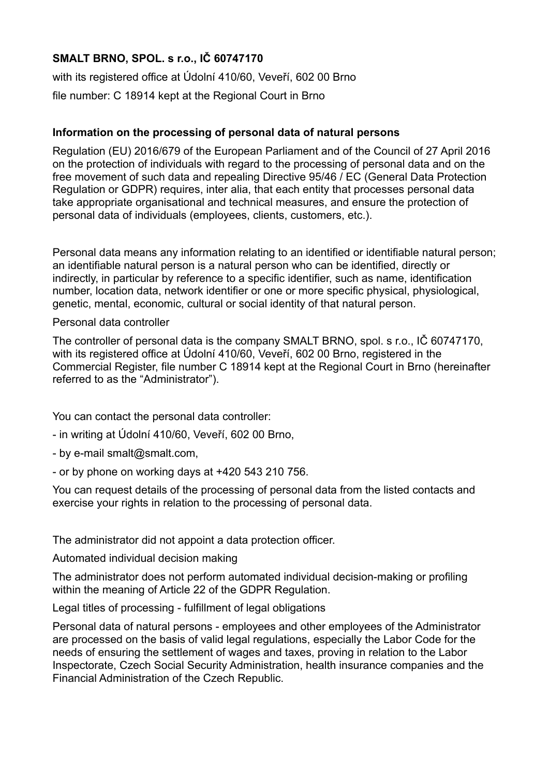## **SMALT BRNO, SPOL. s r.o., IČ 60747170**

with its registered office at Údolní 410/60, Veveří, 602 00 Brno file number: C 18914 kept at the Regional Court in Brno

## **Information on the processing of personal data of natural persons**

Regulation (EU) 2016/679 of the European Parliament and of the Council of 27 April 2016 on the protection of individuals with regard to the processing of personal data and on the free movement of such data and repealing Directive 95/46 / EC (General Data Protection Regulation or GDPR) requires, inter alia, that each entity that processes personal data take appropriate organisational and technical measures, and ensure the protection of personal data of individuals (employees, clients, customers, etc.).

Personal data means any information relating to an identified or identifiable natural person; an identifiable natural person is a natural person who can be identified, directly or indirectly, in particular by reference to a specific identifier, such as name, identification number, location data, network identifier or one or more specific physical, physiological, genetic, mental, economic, cultural or social identity of that natural person.

## Personal data controller

The controller of personal data is the company SMALT BRNO, spol. s r.o., IČ 60747170, with its registered office at Údolní 410/60, Veveří, 602 00 Brno, registered in the Commercial Register, file number C 18914 kept at the Regional Court in Brno (hereinafter referred to as the "Administrator").

You can contact the personal data controller:

- in writing at Údolní 410/60, Veveří, 602 00 Brno,
- by e-mail smalt@smalt.com,
- or by phone on working days at +420 543 210 756.

You can request details of the processing of personal data from the listed contacts and exercise your rights in relation to the processing of personal data.

The administrator did not appoint a data protection officer.

Automated individual decision making

The administrator does not perform automated individual decision-making or profiling within the meaning of Article 22 of the GDPR Regulation.

Legal titles of processing - fulfillment of legal obligations

Personal data of natural persons - employees and other employees of the Administrator are processed on the basis of valid legal regulations, especially the Labor Code for the needs of ensuring the settlement of wages and taxes, proving in relation to the Labor Inspectorate, Czech Social Security Administration, health insurance companies and the Financial Administration of the Czech Republic.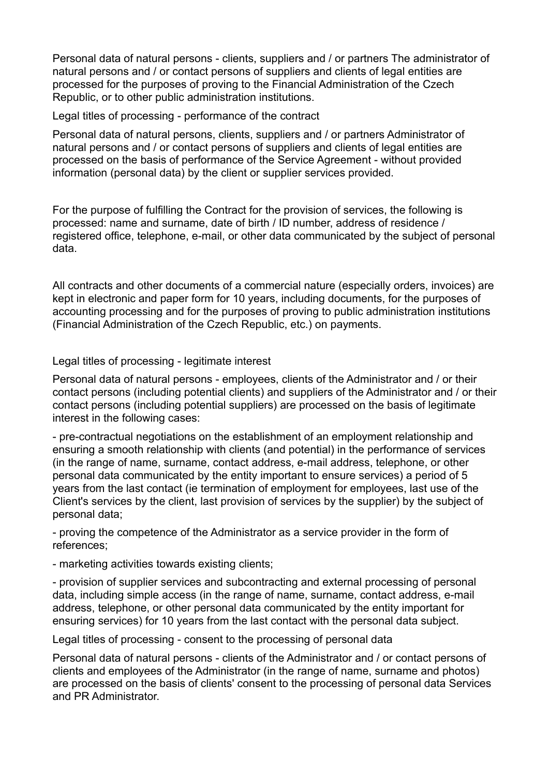Personal data of natural persons - clients, suppliers and / or partners The administrator of natural persons and / or contact persons of suppliers and clients of legal entities are processed for the purposes of proving to the Financial Administration of the Czech Republic, or to other public administration institutions.

Legal titles of processing - performance of the contract

Personal data of natural persons, clients, suppliers and / or partners Administrator of natural persons and / or contact persons of suppliers and clients of legal entities are processed on the basis of performance of the Service Agreement - without provided information (personal data) by the client or supplier services provided.

For the purpose of fulfilling the Contract for the provision of services, the following is processed: name and surname, date of birth / ID number, address of residence / registered office, telephone, e-mail, or other data communicated by the subject of personal data.

All contracts and other documents of a commercial nature (especially orders, invoices) are kept in electronic and paper form for 10 years, including documents, for the purposes of accounting processing and for the purposes of proving to public administration institutions (Financial Administration of the Czech Republic, etc.) on payments.

Legal titles of processing - legitimate interest

Personal data of natural persons - employees, clients of the Administrator and / or their contact persons (including potential clients) and suppliers of the Administrator and / or their contact persons (including potential suppliers) are processed on the basis of legitimate interest in the following cases:

- pre-contractual negotiations on the establishment of an employment relationship and ensuring a smooth relationship with clients (and potential) in the performance of services (in the range of name, surname, contact address, e-mail address, telephone, or other personal data communicated by the entity important to ensure services) a period of 5 years from the last contact (ie termination of employment for employees, last use of the Client's services by the client, last provision of services by the supplier) by the subject of personal data;

- proving the competence of the Administrator as a service provider in the form of references;

- marketing activities towards existing clients;

- provision of supplier services and subcontracting and external processing of personal data, including simple access (in the range of name, surname, contact address, e-mail address, telephone, or other personal data communicated by the entity important for ensuring services) for 10 years from the last contact with the personal data subject.

Legal titles of processing - consent to the processing of personal data

Personal data of natural persons - clients of the Administrator and / or contact persons of clients and employees of the Administrator (in the range of name, surname and photos) are processed on the basis of clients' consent to the processing of personal data Services and PR Administrator.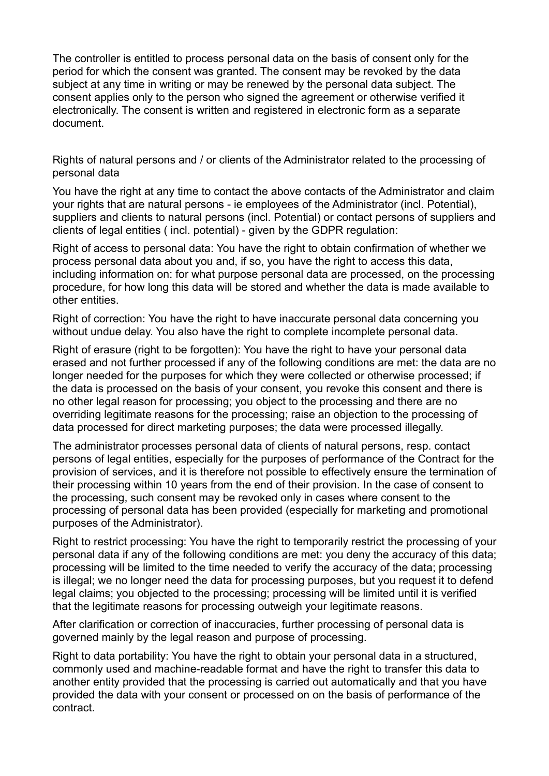The controller is entitled to process personal data on the basis of consent only for the period for which the consent was granted. The consent may be revoked by the data subject at any time in writing or may be renewed by the personal data subject. The consent applies only to the person who signed the agreement or otherwise verified it electronically. The consent is written and registered in electronic form as a separate document.

Rights of natural persons and / or clients of the Administrator related to the processing of personal data

You have the right at any time to contact the above contacts of the Administrator and claim your rights that are natural persons - ie employees of the Administrator (incl. Potential), suppliers and clients to natural persons (incl. Potential) or contact persons of suppliers and clients of legal entities ( incl. potential) - given by the GDPR regulation:

Right of access to personal data: You have the right to obtain confirmation of whether we process personal data about you and, if so, you have the right to access this data, including information on: for what purpose personal data are processed, on the processing procedure, for how long this data will be stored and whether the data is made available to other entities.

Right of correction: You have the right to have inaccurate personal data concerning you without undue delay. You also have the right to complete incomplete personal data.

Right of erasure (right to be forgotten): You have the right to have your personal data erased and not further processed if any of the following conditions are met: the data are no longer needed for the purposes for which they were collected or otherwise processed; if the data is processed on the basis of your consent, you revoke this consent and there is no other legal reason for processing; you object to the processing and there are no overriding legitimate reasons for the processing; raise an objection to the processing of data processed for direct marketing purposes; the data were processed illegally.

The administrator processes personal data of clients of natural persons, resp. contact persons of legal entities, especially for the purposes of performance of the Contract for the provision of services, and it is therefore not possible to effectively ensure the termination of their processing within 10 years from the end of their provision. In the case of consent to the processing, such consent may be revoked only in cases where consent to the processing of personal data has been provided (especially for marketing and promotional purposes of the Administrator).

Right to restrict processing: You have the right to temporarily restrict the processing of your personal data if any of the following conditions are met: you deny the accuracy of this data; processing will be limited to the time needed to verify the accuracy of the data; processing is illegal; we no longer need the data for processing purposes, but you request it to defend legal claims; you objected to the processing; processing will be limited until it is verified that the legitimate reasons for processing outweigh your legitimate reasons.

After clarification or correction of inaccuracies, further processing of personal data is governed mainly by the legal reason and purpose of processing.

Right to data portability: You have the right to obtain your personal data in a structured, commonly used and machine-readable format and have the right to transfer this data to another entity provided that the processing is carried out automatically and that you have provided the data with your consent or processed on on the basis of performance of the contract.